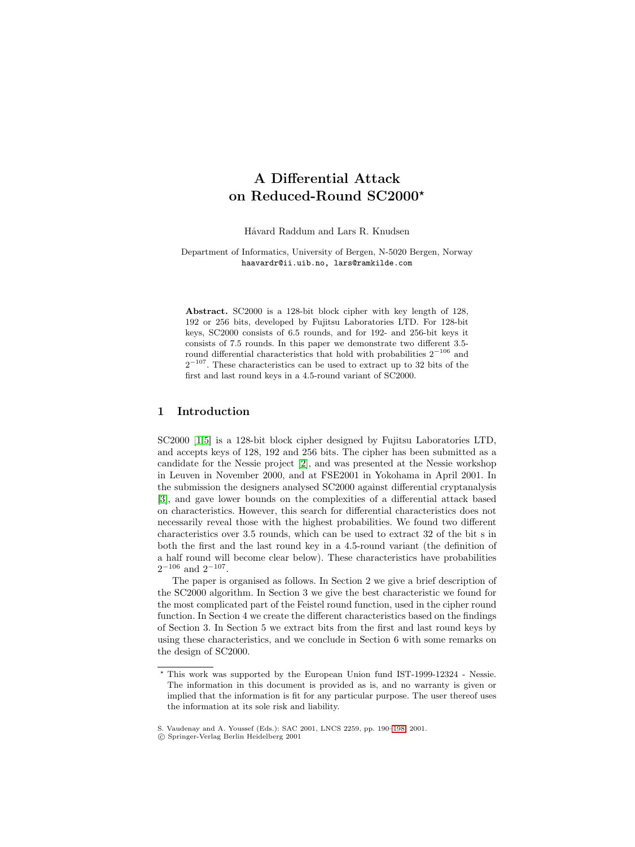# **A Differential Attack on Reduced-Round SC2000**

Håvard Raddum and Lars R. Knudsen

Department of Informatics, University of Bergen, N-5020 Bergen, Norway haavardr@ii.uib.no, lars@ramkilde.com

**Abstract.** SC2000 is a 128-bit block cipher with key length of 128, 192 or 256 bits, developed by Fujitsu Laboratories LTD. For 128-bit keys, SC2000 consists of 6.5 rounds, and for 192- and 256-bit keys it consists of 7.5 rounds. In this paper we demonstrate two different 3.5 round differential characteristics that hold with probabilities  $2^{-106}$  and  $2^{-107}$ . These characteristics can be used to extract up to 32 bits of the first and last round keys in a 4.5-round variant of SC2000.

## **1 Introduction**

SC2000 [\[1,5\]](#page-8-0) is a 128-bit block cipher designed by Fujitsu Laboratories LTD, and accepts keys of 128, 192 and 256 bits. The cipher has been submitted as a candidate for the Nessie project [\[2\]](#page-8-0), and was presented at the Nessie workshop in Leuven in November 2000, and at FSE2001 in Yokohama in April 2001. In the submission the designers analysed SC2000 against differential cryptanalysis [\[3\]](#page-8-0), and gave lower bounds on the complexities of a differential attack based on characteristics. However, this search for differential characteristics does not necessarily reveal those with the highest probabilities. We found two different characteristics over 3.5 rounds, which can be used to extract 32 of the bit s in both the first and the last round key in a 4.5-round variant (the definition of a half round will become clear below). These characteristics have probabilities  $2^{-106}$  and  $2^{-107}$ .

The paper is organised as follows. In Section 2 we give a brief description of the SC2000 algorithm. In Section 3 we give the best characteristic we found for the most complicated part of the Feistel round function, used in the cipher round function. In Section 4 we create the different characteristics based on the findings of Section 3. In Section 5 we extract bits from the first and last round keys by using these characteristics, and we conclude in Section 6 with some remarks on the design of SC2000.

 $^{\star}$  This work was supported by the European Union fund IST-1999-12324 - Nessie. The information in this document is provided as is, and no warranty is given or implied that the information is fit for any particular purpose. The user thereof uses the information at its sole risk and liability.

S. Vaudenay and A. Youssef (Eds.): SAC 2001, LNCS 2259, pp. 190[–198,](#page-8-0) 2001.

<sup>-</sup>c Springer-Verlag Berlin Heidelberg 2001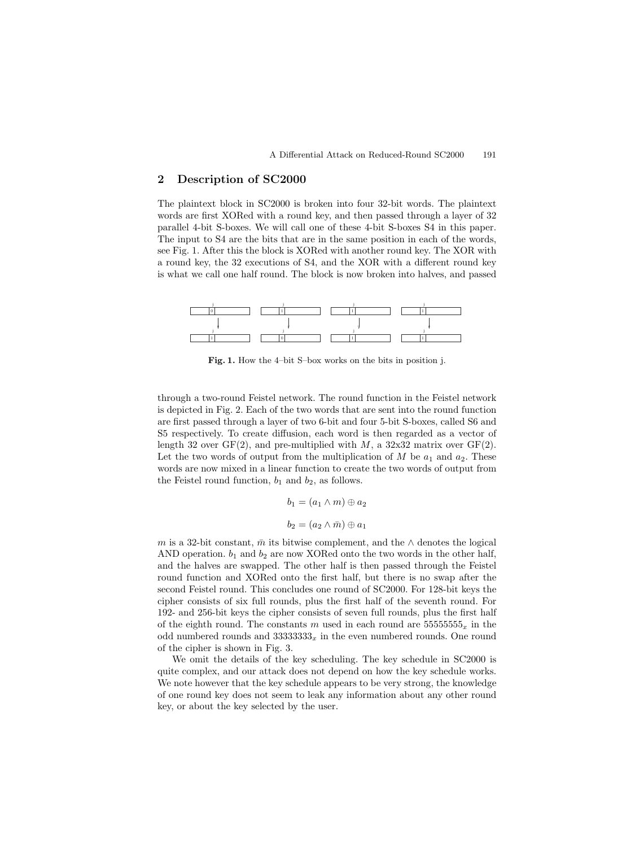## **2 Description of SC2000**

The plaintext block in SC2000 is broken into four 32-bit words. The plaintext words are first XORed with a round key, and then passed through a layer of 32 parallel 4-bit S-boxes. We will call one of these 4-bit S-boxes S4 in this paper. The input to S4 are the bits that are in the same position in each of the words, see Fig. 1. After this the block is XORed with another round key. The XOR with a round key, the 32 executions of S4, and the XOR with a different round key is what we call one half round. The block is now broken into halves, and passed



**Fig. 1.** How the 4–bit S–box works on the bits in position j.

through a two-round Feistel network. The round function in the Feistel network is depicted in Fig. 2. Each of the two words that are sent into the round function are first passed through a layer of two 6-bit and four 5-bit S-boxes, called S6 and S5 respectively. To create diffusion, each word is then regarded as a vector of length 32 over  $GF(2)$ , and pre-multiplied with M, a 32x32 matrix over  $GF(2)$ . Let the two words of output from the multiplication of M be  $a_1$  and  $a_2$ . These words are now mixed in a linear function to create the two words of output from the Feistel round function,  $b_1$  and  $b_2$ , as follows.

> $b_1 = (a_1 \wedge m) \oplus a_2$  $b_2 = (a_2 \wedge \bar{m}) \oplus a_1$

m is a 32-bit constant,  $\bar{m}$  its bitwise complement, and the ∧ denotes the logical AND operation.  $b_1$  and  $b_2$  are now XORed onto the two words in the other half, and the halves are swapped. The other half is then passed through the Feistel round function and XORed onto the first half, but there is no swap after the second Feistel round. This concludes one round of SC2000. For 128-bit keys the cipher consists of six full rounds, plus the first half of the seventh round. For 192- and 256-bit keys the cipher consists of seven full rounds, plus the first half of the eighth round. The constants m used in each round are  $55555555<sub>x</sub>$  in the odd numbered rounds and  $3333333_x$  in the even numbered rounds. One round of the cipher is shown in Fig. 3.

We omit the details of the key scheduling. The key schedule in SC2000 is quite complex, and our attack does not depend on how the key schedule works. We note however that the key schedule appears to be very strong, the knowledge of one round key does not seem to leak any information about any other round key, or about the key selected by the user.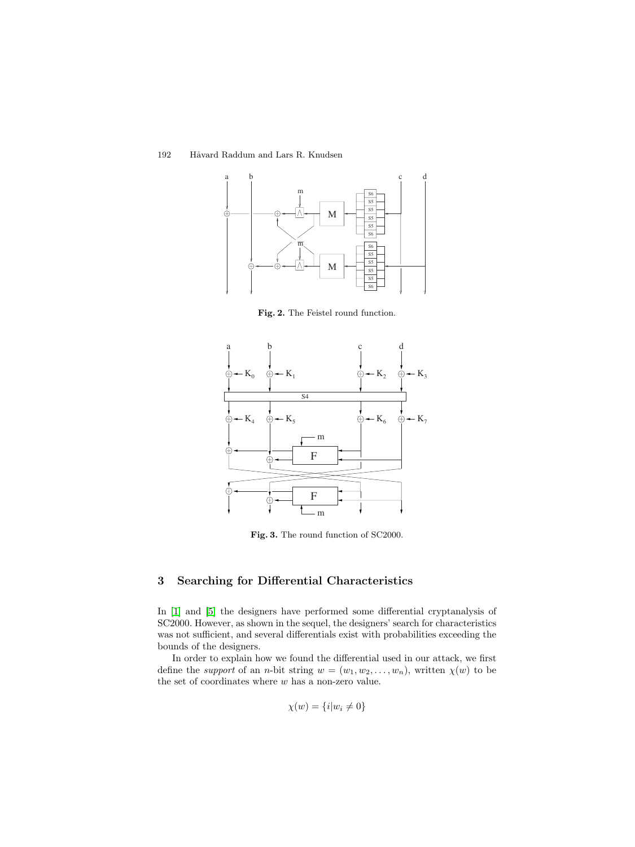192 Håvard Raddum and Lars R. Knudsen



Fig. 2. The Feistel round function.



**Fig. 3.** The round function of SC2000.

# **3 Searching for Differential Characteristics**

In [\[1\]](#page-8-0) and [\[5\]](#page-8-0) the designers have performed some differential cryptanalysis of SC2000. However, as shown in the sequel, the designers' search for characteristics was not sufficient, and several differentials exist with probabilities exceeding the bounds of the designers.

In order to explain how we found the differential used in our attack, we first define the *support* of an *n*-bit string  $w = (w_1, w_2, \dots, w_n)$ , written  $\chi(w)$  to be the set of coordinates where  $\boldsymbol{w}$  has a non-zero value.

$$
\chi(w) = \{i|w_i \neq 0\}
$$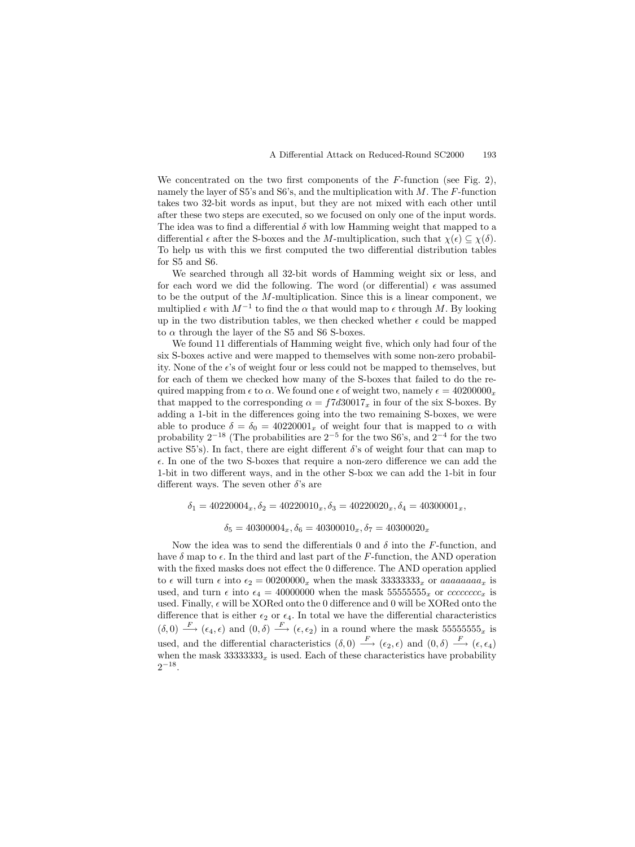We concentrated on the two first components of the  $F$ -function (see Fig. 2), namely the layer of S5's and S6's, and the multiplication with  $M$ . The F-function takes two 32-bit words as input, but they are not mixed with each other until after these two steps are executed, so we focused on only one of the input words. The idea was to find a differential  $\delta$  with low Hamming weight that mapped to a differential  $\epsilon$  after the S-boxes and the M-multiplication, such that  $\chi(\epsilon) \subseteq \chi(\delta)$ . To help us with this we first computed the two differential distribution tables for S5 and S6.

We searched through all 32-bit words of Hamming weight six or less, and for each word we did the following. The word (or differential)  $\epsilon$  was assumed to be the output of the M-multiplication. Since this is a linear component, we multiplied  $\epsilon$  with  $M^{-1}$  to find the  $\alpha$  that would map to  $\epsilon$  through M. By looking up in the two distribution tables, we then checked whether  $\epsilon$  could be mapped to  $\alpha$  through the layer of the S5 and S6 S-boxes.

We found 11 differentials of Hamming weight five, which only had four of the six S-boxes active and were mapped to themselves with some non-zero probability. None of the  $\epsilon$ 's of weight four or less could not be mapped to themselves, but for each of them we checked how many of the S-boxes that failed to do the required mapping from  $\epsilon$  to  $\alpha$ . We found one  $\epsilon$  of weight two, namely  $\epsilon = 40200000_x$ that mapped to the corresponding  $\alpha = f7d30017_x$  in four of the six S-boxes. By adding a 1-bit in the differences going into the two remaining S-boxes, we were able to produce  $\delta = \delta_0 = 40220001_x$  of weight four that is mapped to  $\alpha$  with probability  $2^{-18}$  (The probabilities are  $2^{-5}$  for the two S6's, and  $2^{-4}$  for the two active S5's). In fact, there are eight different  $\delta$ 's of weight four that can map to . In one of the two S-boxes that require a non-zero difference we can add the 1-bit in two different ways, and in the other S-box we can add the 1-bit in four different ways. The seven other  $\delta$ 's are

 $\delta_1 = 40220004_x, \delta_2 = 40220010_x, \delta_3 = 40220020_x, \delta_4 = 40300001_x,$ 

 $\delta_5 = 40300004_x, \delta_6 = 40300010_x, \delta_7 = 40300020_x$ 

Now the idea was to send the differentials 0 and  $\delta$  into the F-function, and have  $\delta$  map to  $\epsilon$ . In the third and last part of the F-function, the AND operation with the fixed masks does not effect the 0 difference. The AND operation applied to  $\epsilon$  will turn  $\epsilon$  into  $\epsilon_2 = 00200000_x$  when the mask  $33333333_x$  or aaaaaaaa $x_x$  is used, and turn  $\epsilon$  into  $\epsilon_4 = 40000000$  when the mask  $55555555_x$  or  $ccccccccc_x$  is used. Finally,  $\epsilon$  will be XORed onto the 0 difference and 0 will be XORed onto the difference that is either  $\epsilon_2$  or  $\epsilon_4$ . In total we have the differential characteristics  $(\delta,0) \stackrel{F}{\longrightarrow} (\epsilon_4,\epsilon)$  and  $(0,\delta) \stackrel{F}{\longrightarrow} (\epsilon,\epsilon_2)$  in a round where the mask 55555555 $5\pi$  is used, and the differential characteristics  $(\delta, 0) \stackrel{F}{\longrightarrow} (\epsilon_2, \epsilon)$  and  $(0, \delta) \stackrel{F}{\longrightarrow} (\epsilon, \epsilon_4)$ when the mask  $33333333_x$  is used. Each of these characteristics have probability  $2^{-18}$ .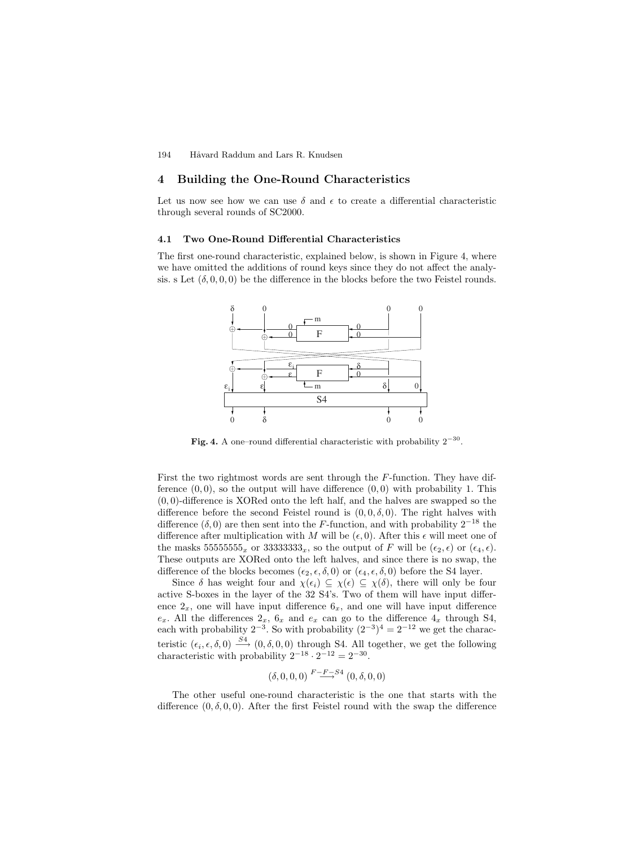194 Håvard Raddum and Lars R. Knudsen

#### **4 Building the One-Round Characteristics**

Let us now see how we can use  $\delta$  and  $\epsilon$  to create a differential characteristic through several rounds of SC2000.

#### **4.1 Two One-Round Differential Characteristics**

The first one-round characteristic, explained below, is shown in Figure 4, where we have omitted the additions of round keys since they do not affect the analysis. s Let  $(\delta, 0, 0, 0)$  be the difference in the blocks before the two Feistel rounds.



**Fig. 4.** A one–round differential characteristic with probability  $2^{-30}$ .

First the two rightmost words are sent through the F-function. They have difference  $(0,0)$ , so the output will have difference  $(0,0)$  with probability 1. This  $(0, 0)$ -difference is XORed onto the left half, and the halves are swapped so the difference before the second Feistel round is  $(0, 0, \delta, 0)$ . The right halves with difference  $(\delta, 0)$  are then sent into the F-function, and with probability  $2^{-18}$  the difference after multiplication with M will be  $(\epsilon, 0)$ . After this  $\epsilon$  will meet one of the masks 55555555<sub>x</sub> or 33333333<sub>x</sub>, so the output of F will be  $(\epsilon_2, \epsilon)$  or  $(\epsilon_4, \epsilon)$ . These outputs are XORed onto the left halves, and since there is no swap, the difference of the blocks becomes  $(\epsilon_2, \epsilon, \delta, 0)$  or  $(\epsilon_4, \epsilon, \delta, 0)$  before the S4 layer.

Since  $\delta$  has weight four and  $\chi(\epsilon_i) \subseteq \chi(\epsilon) \subseteq \chi(\delta)$ , there will only be four active S-boxes in the layer of the 32 S4's. Two of them will have input difference  $2_x$ , one will have input difference  $6_x$ , and one will have input difference  $e_x$ . All the differences  $2_x$ ,  $6_x$  and  $e_x$  can go to the difference  $4_x$  through S4, each with probability  $2^{-3}$ . So with probability  $(2^{-3})^4 = 2^{-12}$  we get the characteristic  $(\epsilon_i, \epsilon, \delta, 0) \xrightarrow{\tilde{S}_4} (0, \delta, 0, 0)$  through S4. All together, we get the following characteristic with probability  $2^{-18} \cdot 2^{-12} = 2^{-30}$ .

$$
(\delta, 0, 0, 0) \stackrel{F-F-S4}{\longrightarrow} (0, \delta, 0, 0)
$$

The other useful one-round characteristic is the one that starts with the difference  $(0, \delta, 0, 0)$ . After the first Feistel round with the swap the difference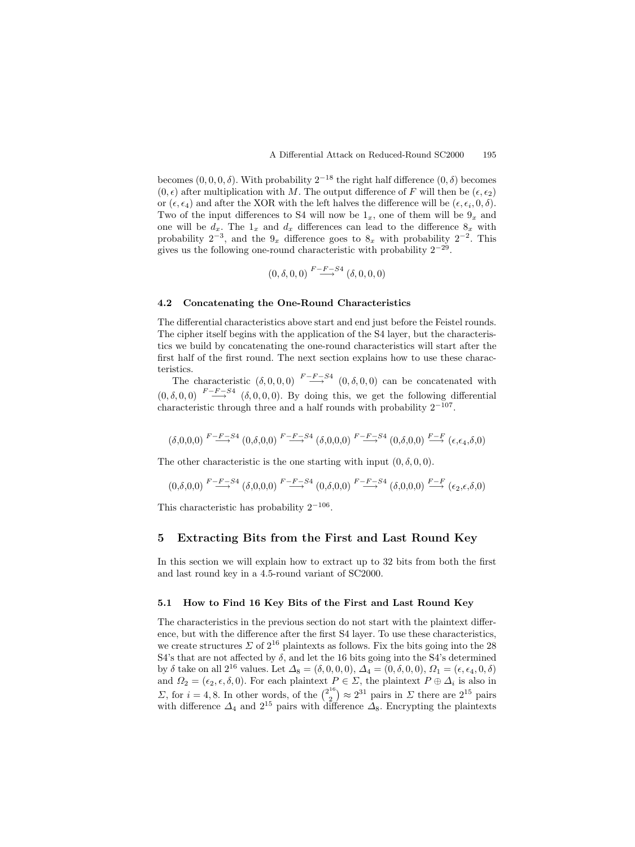becomes  $(0, 0, 0, \delta)$ . With probability  $2^{-18}$  the right half difference  $(0, \delta)$  becomes  $(0, \epsilon)$  after multiplication with M. The output difference of F will then be  $(\epsilon, \epsilon_2)$ or  $(\epsilon, \epsilon_4)$  and after the XOR with the left halves the difference will be  $(\epsilon, \epsilon_i, 0, \delta)$ . Two of the input differences to S4 will now be  $1_x$ , one of them will be  $9_x$  and one will be  $d_x$ . The  $1_x$  and  $d_x$  differences can lead to the difference  $8_x$  with probability  $2^{-3}$ , and the  $9_x$  difference goes to  $8_x$  with probability  $2^{-2}$ . This gives us the following one-round characteristic with probability  $2^{-29}$ .

$$
(0, \delta, 0, 0) \stackrel{F-F-S4}{\longrightarrow} (\delta, 0, 0, 0)
$$

#### **4.2 Concatenating the One-Round Characteristics**

The differential characteristics above start and end just before the Feistel rounds. The cipher itself begins with the application of the S4 layer, but the characteristics we build by concatenating the one-round characteristics will start after the first half of the first round. The next section explains how to use these characteristics.

The characteristic  $(\delta, 0, 0, 0) \xrightarrow{F-F-S4} (0, \delta, 0, 0)$  can be concatenated with  $(0, \delta, 0, 0) \xrightarrow{F-F-S4} (\delta, 0, 0, 0)$ . By doing this, we get the following differential characteristic through three and a half rounds with probability  $2^{-107}$ .

$$
(\delta,0,0,0) \stackrel{F-F-S4}{\longrightarrow} (0,\delta,0,0) \stackrel{F-F-S4}{\longrightarrow} (\delta,0,0,0) \stackrel{F-F-S4}{\longrightarrow} (0,\delta,0,0) \stackrel{F-F}{\longrightarrow} (\epsilon,\epsilon_4,\delta,0)
$$

The other characteristic is the one starting with input  $(0, \delta, 0, 0)$ .

$$
(0,\delta,0,0) \xrightarrow{F-F-S4} (\delta,0,0,0) \xrightarrow{F-F-S4} (0,\delta,0,0) \xrightarrow{F-F-S4} (\delta,0,0,0) \xrightarrow{F-F} (\epsilon_2,\epsilon,\delta,0)
$$

This characteristic has probability  $2^{-106}$ .

#### **5 Extracting Bits from the First and Last Round Key**

In this section we will explain how to extract up to 32 bits from both the first and last round key in a 4.5-round variant of SC2000.

#### **5.1 How to Find 16 KeyBits of the First and Last Round Key**

The characteristics in the previous section do not start with the plaintext difference, but with the difference after the first S4 layer. To use these characteristics, we create structures  $\Sigma$  of  $2^{16}$  plaintexts as follows. Fix the bits going into the 28 S4's that are not affected by  $\delta$ , and let the 16 bits going into the S4's determined by  $\delta$  take on all  $2^{16}$  values. Let  $\Delta_8 = (\delta, 0, 0, 0), \Delta_4 = (0, \delta, 0, 0), \Omega_1 = (\epsilon, \epsilon_4, 0, \delta)$ and  $\Omega_2 = (\epsilon_2, \epsilon, \delta, 0)$ . For each plaintext  $P \in \Sigma$ , the plaintext  $P \oplus \Delta_i$  is also in  $Σ$ , for  $i = 4, 8$ . In other words, of the  $\binom{2^{16}}{2} \approx 2^{31}$  pairs in  $Σ$  there are  $2^{15}$  pairs with difference  $\Delta_4$  and  $2^{15}$  pairs with difference  $\Delta_8$ . Encrypting the plaintexts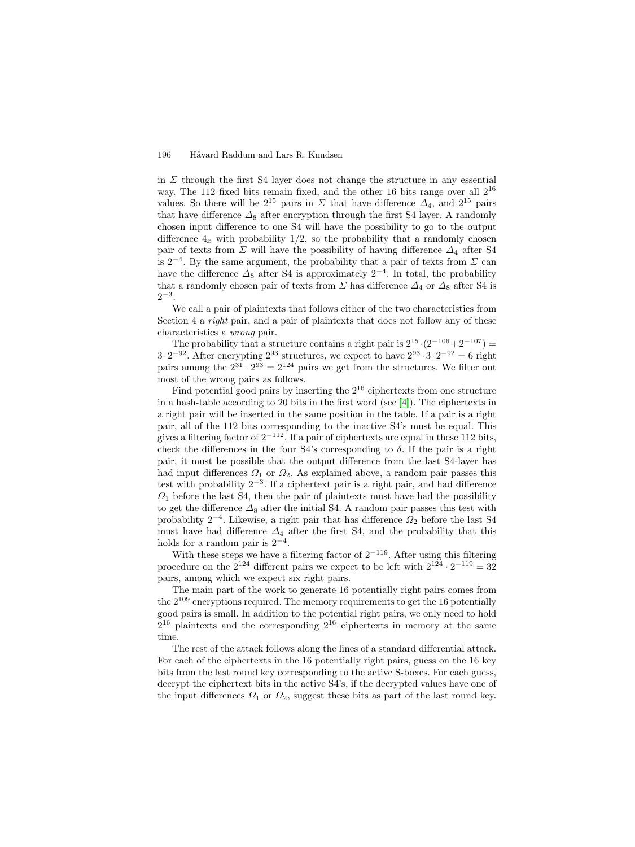#### 196 Håvard Raddum and Lars R. Knudsen

in  $\Sigma$  through the first S4 layer does not change the structure in any essential way. The 112 fixed bits remain fixed, and the other 16 bits range over all  $2^{16}$ values. So there will be  $2^{15}$  pairs in  $\Sigma$  that have difference  $\Delta_4$ , and  $2^{15}$  pairs that have difference  $\Delta_8$  after encryption through the first S4 layer. A randomly chosen input difference to one S4 will have the possibility to go to the output difference  $4_x$  with probability  $1/2$ , so the probability that a randomly chosen pair of texts from  $\Sigma$  will have the possibility of having difference  $\Delta_4$  after S4 is  $2^{-4}$ . By the same argument, the probability that a pair of texts from  $\Sigma$  can have the difference  $\Delta_8$  after S4 is approximately  $2^{-4}$ . In total, the probability that a randomly chosen pair of texts from  $\Sigma$  has difference  $\Delta_4$  or  $\Delta_8$  after S4 is 2−3.

We call a pair of plaintexts that follows either of the two characteristics from Section 4 a *right* pair, and a pair of plaintexts that does not follow any of these characteristics a wrong pair.

The probability that a structure contains a right pair is  $2^{15} \cdot (2^{-106} + 2^{-107}) =$  $3 \cdot 2^{-92}$ . After encrypting  $2^{93}$  structures, we expect to have  $2^{93} \cdot 3 \cdot 2^{-92} = 6$  right pairs among the  $2^{31} \cdot 2^{93} = 2^{124}$  pairs we get from the structures. We filter out most of the wrong pairs as follows.

Find potential good pairs by inserting the  $2^{16}$  ciphertexts from one structure in a hash-table according to 20 bits in the first word (see [\[4\]](#page-8-0)). The ciphertexts in a right pair will be inserted in the same position in the table. If a pair is a right pair, all of the 112 bits corresponding to the inactive S4's must be equal. This gives a filtering factor of  $2^{-112}$ . If a pair of ciphertexts are equal in these 112 bits, check the differences in the four S4's corresponding to  $\delta$ . If the pair is a right pair, it must be possible that the output difference from the last S4-layer has had input differences  $\Omega_1$  or  $\Omega_2$ . As explained above, a random pair passes this test with probability  $2^{-3}$ . If a ciphertext pair is a right pair, and had difference  $\Omega_1$  before the last S4, then the pair of plaintexts must have had the possibility to get the difference  $\Delta_8$  after the initial S4. A random pair passes this test with probability  $2^{-4}$ . Likewise, a right pair that has difference  $\Omega_2$  before the last S4 must have had difference  $\Delta_4$  after the first S4, and the probability that this holds for a random pair is  $2^{-4}$ .

With these steps we have a filtering factor of  $2^{-119}$ . After using this filtering procedure on the  $2^{124}$  different pairs we expect to be left with  $2^{124} \cdot 2^{-119} = 32$ pairs, among which we expect six right pairs.

The main part of the work to generate 16 potentially right pairs comes from the  $2^{109}$  encryptions required. The memory requirements to get the 16 potentially good pairs is small. In addition to the potential right pairs, we only need to hold  $2^{16}$  plaintexts and the corresponding  $2^{16}$  ciphertexts in memory at the same time.

The rest of the attack follows along the lines of a standard differential attack. For each of the ciphertexts in the 16 potentially right pairs, guess on the 16 key bits from the last round key corresponding to the active S-boxes. For each guess, decrypt the ciphertext bits in the active S4's, if the decrypted values have one of the input differences  $\Omega_1$  or  $\Omega_2$ , suggest these bits as part of the last round key.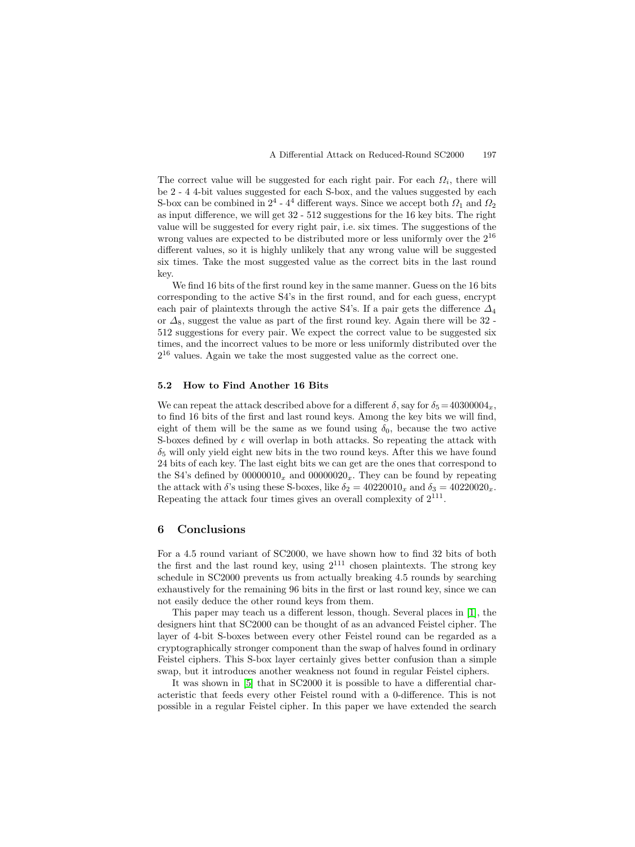The correct value will be suggested for each right pair. For each  $\Omega_i$ , there will be 2 - 4 4-bit values suggested for each S-box, and the values suggested by each S-box can be combined in  $2^4$  -  $4^4$  different ways. Since we accept both  $\Omega_1$  and  $\Omega_2$ as input difference, we will get 32 - 512 suggestions for the 16 key bits. The right value will be suggested for every right pair, i.e. six times. The suggestions of the wrong values are expected to be distributed more or less uniformly over the 2<sup>16</sup> different values, so it is highly unlikely that any wrong value will be suggested six times. Take the most suggested value as the correct bits in the last round key.

We find 16 bits of the first round key in the same manner. Guess on the 16 bits corresponding to the active S4's in the first round, and for each guess, encrypt each pair of plaintexts through the active S4's. If a pair gets the difference  $\Delta_4$ or  $\Delta_8$ , suggest the value as part of the first round key. Again there will be 32 -512 suggestions for every pair. We expect the correct value to be suggested six times, and the incorrect values to be more or less uniformly distributed over the  $2^{16}$  values. Again we take the most suggested value as the correct one.

## **5.2 How to Find Another 16 Bits**

We can repeat the attack described above for a different  $\delta$ , say for  $\delta_5 = 40300004_x$ , to find 16 bits of the first and last round keys. Among the key bits we will find, eight of them will be the same as we found using  $\delta_0$ , because the two active S-boxes defined by  $\epsilon$  will overlap in both attacks. So repeating the attack with  $\delta_5$  will only yield eight new bits in the two round keys. After this we have found 24 bits of each key. The last eight bits we can get are the ones that correspond to the S4's defined by  $00000010_x$  and  $00000020_x$ . They can be found by repeating the attack with  $\delta$ 's using these S-boxes, like  $\delta_2 = 40220010_x$  and  $\delta_3 = 40220020_x$ . Repeating the attack four times gives an overall complexity of  $2^{111}$ .

#### **6 Conclusions**

For a 4.5 round variant of SC2000, we have shown how to find 32 bits of both the first and the last round key, using  $2^{111}$  chosen plaintexts. The strong key schedule in SC2000 prevents us from actually breaking 4.5 rounds by searching exhaustively for the remaining 96 bits in the first or last round key, since we can not easily deduce the other round keys from them.

This paper may teach us a different lesson, though. Several places in [\[1\]](#page-8-0), the designers hint that SC2000 can be thought of as an advanced Feistel cipher. The layer of 4-bit S-boxes between every other Feistel round can be regarded as a cryptographically stronger component than the swap of halves found in ordinary Feistel ciphers. This S-box layer certainly gives better confusion than a simple swap, but it introduces another weakness not found in regular Feistel ciphers.

It was shown in [\[5\]](#page-8-0) that in SC2000 it is possible to have a differential characteristic that feeds every other Feistel round with a 0-difference. This is not possible in a regular Feistel cipher. In this paper we have extended the search